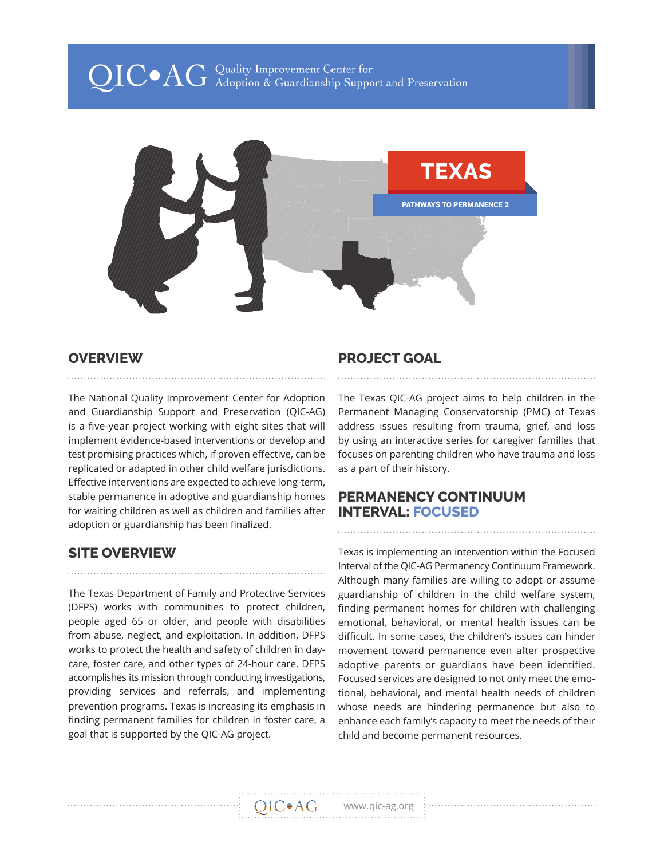# $\operatorname{QIC} \bullet \operatorname{AG}$  Quality Improvement Center for<br>Galanghian & Guardianship Support and Preservation



#### **OVERVIEW**

The National Quality Improvement Center for Adoption and Guardianship Support and Preservation (QIC-AG) is a five-year project working with eight sites that will implement evidence-based interventions or develop and test promising practices which, if proven effective, can be replicated or adapted in other child welfare jurisdictions. Effective interventions are expected to achieve long-term, stable permanence in adoptive and guardianship homes for waiting children as well as children and families after adoption or guardianship has been finalized.

# **SITE OVERVIEW**

The Texas Department of Family and Protective Services (DFPS) works with communities to protect children, people aged 65 or older, and people with disabilities from abuse, neglect, and exploitation. In addition, DFPS works to protect the health and safety of children in daycare, foster care, and other types of 24-hour care. DFPS accomplishes its mission through conducting investigations, providing services and referrals, and implementing prevention programs. Texas is increasing its emphasis in finding permanent families for children in foster care, a goal that is supported by the QIC-AG project.

## **PROJECT GOAL**

The Texas QIC-AG project aims to help children in the Permanent Managing Conservatorship (PMC) of Texas address issues resulting from trauma, grief, and loss by using an interactive series for caregiver families that focuses on parenting children who have trauma and loss as a part of their history.

#### **PERMANENCY CONTINUUM INTERVAL: FOCUSED**

Texas is implementing an intervention within the Focused Interval of the QIC-AG Permanency Continuum Framework. Although many families are willing to adopt or assume guardianship of children in the child welfare system, finding permanent homes for children with challenging emotional, behavioral, or mental health issues can be difficult. In some cases, the children's issues can hinder movement toward permanence even after prospective adoptive parents or guardians have been identified. Focused services are designed to not only meet the emotional, behavioral, and mental health needs of children whose needs are hindering permanence but also to enhance each family's capacity to meet the needs of their child and become permanent resources.